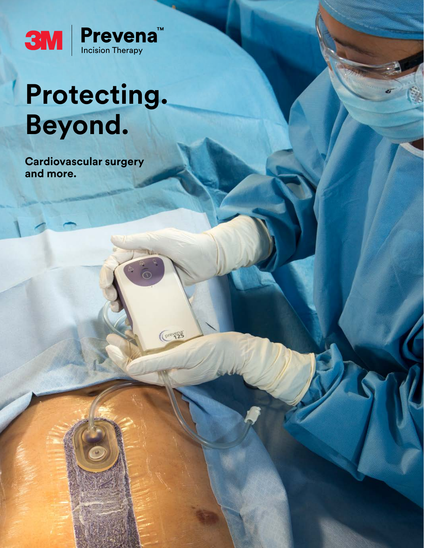

# **Protecting. Beyond.**

**Cardiovascular surgery and more.**

 $($  prevents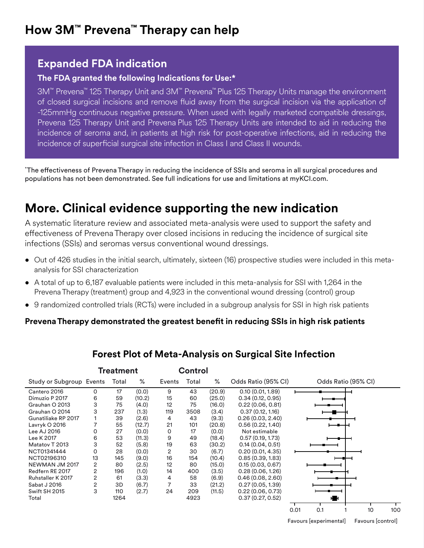## **How 3M™ Prevena™ Therapy can help**

## **Expanded FDA indication**

#### **The FDA granted the following Indications for Use:\***

3M™ Prevena™ 125 Therapy Unit and 3M™ Prevena™ Plus 125 Therapy Units manage the environment of closed surgical incisions and remove fluid away from the surgical incision via the application of -125mmHg continuous negative pressure. When used with legally marketed compatible dressings, Prevena 125 Therapy Unit and Prevena Plus 125 Therapy Units are intended to aid in reducing the incidence of seroma and, in patients at high risk for post-operative infections, aid in reducing the incidence of superficial surgical site infection in Class I and Class II wounds.

\* The effectiveness of PrevenaTherapy in reducing the incidence of SSIs and seroma in all surgical procedures and populations has not been demonstrated. See full indications for use and limitations at myKCI.com.

## **More. Clinical evidence supporting the new indication**

A systematic literature review and associated meta-analysis were used to support the safety and effectiveness of PrevenaTherapy over closed incisions in reducing the incidence of surgical site infections (SSIs) and seromas versus conventional wound dressings.

- Out of 426 studies in the initial search, ultimately, sixteen (16) prospective studies were included in this metaanalysis for SSI characterization
- A total of up to 6,187 evaluable patients were included in this meta-analysis for SSI with 1,264 in the PrevenaTherapy (treatment) group and 4,923 in the conventional wound dressing (control) group
- 9 randomized controlled trials (RCTs) were included in a subgroup analysis for SSI in high risk patients

#### **PrevenaTherapy demonstrated the greatest benefit in reducing SSIs in high risk patients**

|                          | <b>Treatment</b> |       | Control |                |       |        |                     |                     |
|--------------------------|------------------|-------|---------|----------------|-------|--------|---------------------|---------------------|
| Study or Subgroup Events |                  | Total | ℅       | Events         | Total | ℅      | Odds Ratio (95% CI) | Odds Ratio (95% CI) |
| Cantero 2016             | $\Omega$         | 17    | (0.0)   | 9              | 43    | (20.9) | 0.10(0.01, 1.89)    |                     |
| Dimuzio P 2017           | 6                | 59    | (10.2)  | 15             | 60    | (25.0) | 0.34(0.12, 0.95)    |                     |
| Grauhan O 2013           | 3                | 75    | (4.0)   | 12             | 75    | (16.0) | 0.22(0.06, 0.81)    |                     |
| Grauhan O 2014           | 3                | 237   | (1.3)   | 119            | 3508  | (3.4)  | 0.37(0.12, 1.16)    |                     |
| Gunatiliake RP 2017      |                  | 39    | (2.6)   | 4              | 43    | (9.3)  | 0.26(0.03, 2.40)    |                     |
| Lavryk O 2016            |                  | 55    | (12.7)  | 21             | 101   | (20.8) | 0.56(0.22, 1.40)    |                     |
| Lee AJ 2016              | 0                | 27    | (0.0)   | 0              | 17    | (0.0)  | Not estimable       |                     |
| Lee K 2017               | 6                | 53    | (11.3)  | 9              | 49    | (18.4) | 0.57(0.19, 1.73)    |                     |
| Matatov T 2013           | 3                | 52    | (5.8)   | 19             | 63    | (30.2) | 0.14(0.04, 0.51)    |                     |
| NCT01341444              | 0                | 28    | (0.0)   | $\overline{2}$ | 30    | (6.7)  | 0.20(0.01, 4.35)    |                     |
| NCT02196310              | 13               | 145   | (9.0)   | 16             | 154   | (10.4) | 0.85(0.39, 1.83)    |                     |
| NEWMAN JM 2017           | 2                | 80    | (2.5)   | 12             | 80    | (15.0) | 0.15(0.03, 0.67)    |                     |
| Redfern RE 2017          | 2                | 196   | (1.0)   | 14             | 400   | (3.5)  | 0.28(0.06, 1.26)    |                     |
| Ruhstaller K 2017        | 2                | 61    | (3.3)   | 4              | 58    | (6.9)  | 0.46(0.08, 2.60)    |                     |
| Sabat J 2016             | 2                | 3D    | (6.7)   | 7              | 33    | (21.2) | 0.27(0.05, 1.39)    |                     |
| <b>Swift SH 2015</b>     | 3                | 110   | (2.7)   | 24             | 209   | (11.5) | 0.22(0.06, 0.73)    |                     |
| Total                    |                  | 1264  |         |                | 4923  |        | 0.37(0.27, 0.52)    |                     |

#### **Forest Plot of Meta-Analysis on Surgical Site Infection**

0.01 0.1 1 10 100 Favours [experimental] Favours [control]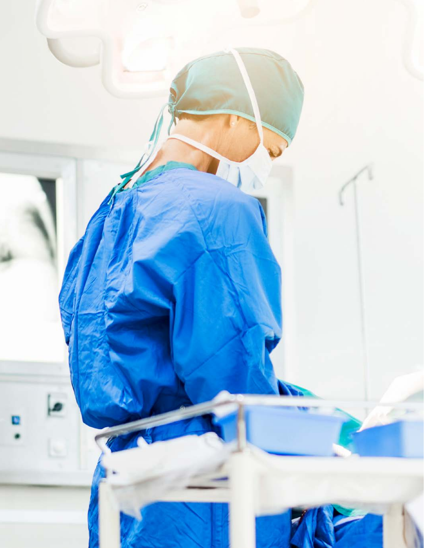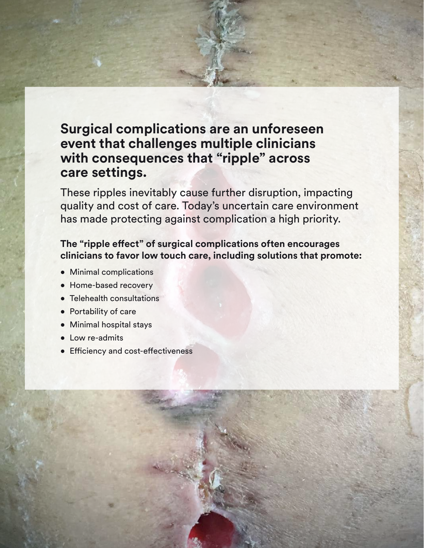## **Surgical complications are an unforeseen event that challenges multiple clinicians with consequences that "ripple" across care settings.**

These ripples inevitably cause further disruption, impacting quality and cost of care. Today's uncertain care environment has made protecting against complication a high priority.

### **The "ripple effect" of surgical complications often encourages clinicians to favor low touch care, including solutions that promote:**

- Minimal complications
- Home-based recovery
- Telehealth consultations
- Portability of care
- Minimal hospital stays
- Low re-admits
- Efficiency and cost-effectiveness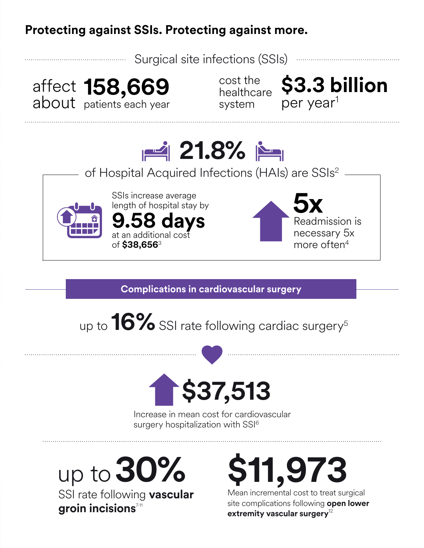## **Protecting against SSIs. Protecting against more.**



**Complications in cardiovascular surgery**

## up to  $16\%$  SSI rate following cardiac surgery<sup>5</sup>



Increase in mean cost for cardiovascular surgery hospitalization with SSI<sup>6</sup>

up to**30%** SSI rate following **vascular**  groin incisions<sup>7-11</sup>

# **\$11,973**

Mean incremental cost to treat surgical site complications following **open lower extremity vascular surgery**<sup>12</sup>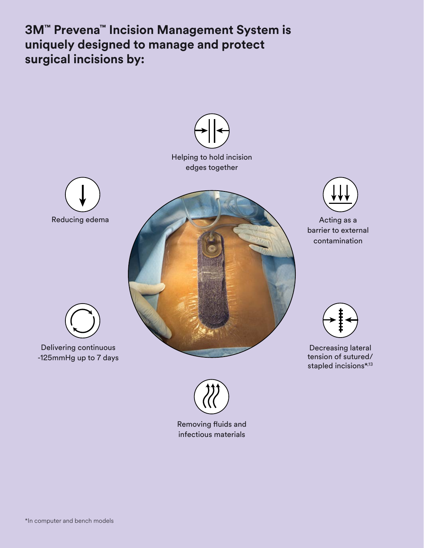**3M™ Prevena™ Incision Management System is uniquely designed to manage and protect surgical incisions by:** 





Removing fluids and infectious materials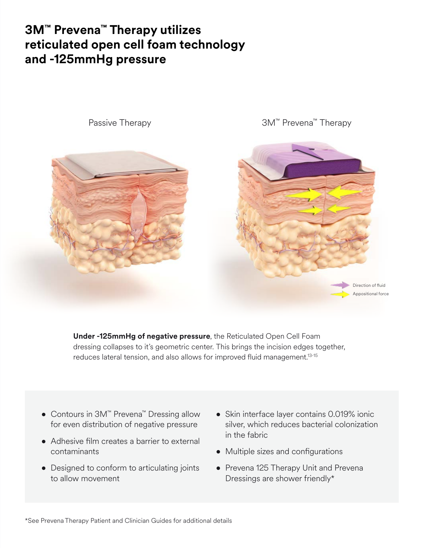## **3M™ Prevena™ Therapy utilizes reticulated open cell foam technology and -125mmHg pressure**



**Under -125mmHg of negative pressure**, the Reticulated Open Cell Foam dressing collapses to it's geometric center. This brings the incision edges together, reduces lateral tension, and also allows for improved fluid management.<sup>13-15</sup>

- Contours in 3M™ Prevena™ Dressing allow for even distribution of negative pressure
- Adhesive film creates a barrier to external contaminants
- Designed to conform to articulating joints to allow movement
- Skin interface layer contains 0.019% ionic silver, which reduces bacterial colonization in the fabric
- Multiple sizes and configurations
- Prevena 125 Therapy Unit and Prevena Dressings are shower friendly\*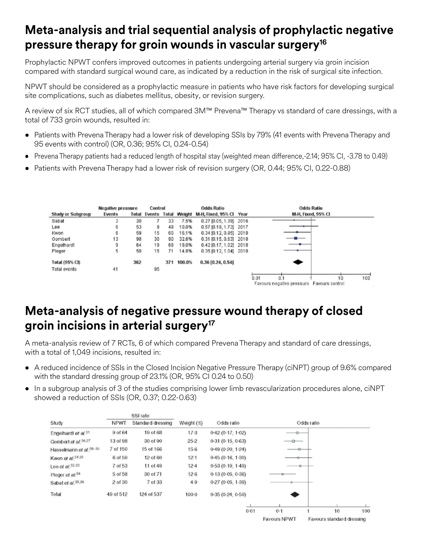## **Meta-analysis and trial sequential analysis of prophylactic negative pressure therapy for groin wounds in vascular surgery16**

Prophylactic NPWT confers improved outcomes in patients undergoing arterial surgery via groin incision compared with standard surgical wound care, as indicated by a reduction in the risk of surgical site infection.

NPWT should be considered as a prophylactic measure in patients who have risk factors for developing surgical site complications, such as diabetes mellitus, obesity, or revision surgery.

A review of six RCT studies, all of which compared 3M™ Prevena™ Therapy vs standard of care dressings, with a total of 733 groin wounds, resulted in:

- Patients with Prevena Therapy had a lower risk of developing SSIs by 79% (41 events with Prevena Therapy and 95 events with control) (OR, 0.36; 95% CI, 0.24-0.54)
- PrevenaTherapy patients had a reduced length of hospital stay (weighted mean difference,-2.14; 95% CI, -3.78 to 0.49)
- Patients with PrevenaTherapy had a lower risk of revision surgery (OR, 0.44; 95% CI, 0.22-0.88)

|                          | Negative pressure |     | Control |     | <b>Odds Ratio</b><br><b>Odds Ratio</b> |                                                   |  |                                                                                   |
|--------------------------|-------------------|-----|---------|-----|----------------------------------------|---------------------------------------------------|--|-----------------------------------------------------------------------------------|
| <b>Study or Subgroup</b> | Events            |     |         |     |                                        | Total Events Total Weight M-H, Fixed, 95% Cl Year |  | <b>M-H, Fixed, 95% CI</b>                                                         |
| Sabat                    |                   | 30  |         | 33  | 7.5%                                   | 0.27 [0.05, 1.39] 2016                            |  |                                                                                   |
| Lee                      | 6                 | 53  | 9       | 49  | 10.0%                                  | $0.57$ [0.19, 1.73] 2017                          |  |                                                                                   |
| Kwon                     | 6                 | 59  | 15      | 60  | 16.1%                                  | $0.34$ [0.12, 0.95] 2018                          |  |                                                                                   |
| Gombert                  | 13                | 98  | 30      | 90  | 32.6%                                  | 0.31 [0.15, 0.63] 2018                            |  |                                                                                   |
| Engelhardt               | 9                 | 64  | 19      | 68  | 19.0%                                  | 0.42 [0.17, 1.02] 2018                            |  |                                                                                   |
| Pleger                   | 5                 | 58  | 15      | 71  | 14.8%                                  | $0.35$ [0.12, 1.04] 2018                          |  |                                                                                   |
| <b>Total (95% CI)</b>    |                   | 362 |         | 371 | 100.0%                                 | 0.36 [0.24, 0.54]                                 |  |                                                                                   |
| Total events             | 41                |     | 95      |     |                                        |                                                   |  |                                                                                   |
|                          |                   |     |         |     |                                        |                                                   |  | 0.01<br>$100^{\degree}$<br>0.1<br>10<br>Favours negative pressure Favours control |

## **Meta-analysis of negative pressure wound therapy of closed groin incisions in arterial surgery17**

A meta-analysis review of 7 RCTs, 6 of which compared PrevenaTherapy and standard of care dressings, with a total of 1,049 incisions, resulted in:

- A reduced incidence of SSIs in the Closed Incision Negative Pressure Therapy (ciNPT) group of 9.6% compared with the standard dressing group of 23.1% (OR, 95% CI 0.24 to 0.50)
- In a subgroup analysis of 3 of the studies comprising lower limb revascularization procedures alone, ciNPT showed a reduction of SSIs (OR, 0.37; 0.22-0.63)

|                                    |             | SSI rate          |            |                  |                     |                           |    |     |
|------------------------------------|-------------|-------------------|------------|------------------|---------------------|---------------------------|----|-----|
| Study                              | <b>NPWT</b> | Standard dressing | Weight (%) | Odds ratio       | Odds ratio          |                           |    |     |
| Engelhardt et al. <sup>31</sup>    | 9 of 64     | 19 of 68          | $17-3$     | 0.42(0.17, 1.02) | -0-                 |                           |    |     |
| Gombert et al. 26,27               | 13 of 98    | 30 of 90          | $25-2$     | 0.31(0.15, 0.63) |                     |                           |    |     |
| Hasselmann et al. <sup>28-30</sup> | 7 of 150    | 15 of 166         | 15.6       | 0.49(0.20, 1.24) |                     |                           |    |     |
| Kwon et al. $24,25$                | 6 of 59     | 12 of 60          | 12.1       | 0.45(0.16, 1.30) |                     |                           |    |     |
| Lee et al. $32,33$                 | 7 of 53     | 11 of 49          | $12-4$     | 0.53(0.19, 1.49) |                     |                           |    |     |
| Pleger et al. <sup>34</sup>        | 5 of 58     | 30 of 71          | 12.6       | 0.13(0.05, 0.36) |                     |                           |    |     |
| Sabat et al. 35,36                 | 2 of 30     | 7 of 33           | 4.9        | 0.27(0.05, 1.39) |                     |                           |    |     |
| Total                              | 49 of 512   | 124 of 537        | $100 - 0$  | 0.35(0.24, 0.50) |                     |                           |    |     |
|                                    |             |                   |            |                  |                     |                           |    |     |
|                                    |             |                   |            | 0.01             | $0 - 1$             |                           | 10 | 100 |
|                                    |             |                   |            |                  | <b>Favours NPWT</b> | Favours standard dressing |    |     |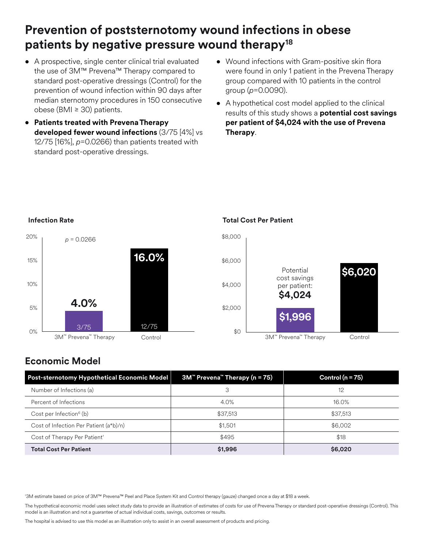## **Prevention of poststernotomy wound infections in obese patients by negative pressure wound therapy18**

- A prospective, single center clinical trial evaluated the use of 3M™ Prevena™ Therapy compared to standard post-operative dressings (Control) for the prevention of wound infection within 90 days after median sternotomy procedures in 150 consecutive obese (BMI ≥ 30) patients.
- **• Patients treated with PrevenaTherapy developed fewer wound infections** (3/75 [4%] vs 12/75 [16%], *p*=0.0266) than patients treated with standard post-operative dressings.
- Wound infections with Gram-positive skin flora were found in only 1 patient in the Prevena Therapy group compared with 10 patients in the control group (*p*=0.0090).
- A hypothetical cost model applied to the clinical results of this study shows a **potential cost savings per patient of \$4,024 with the use of Prevena Therapy**.



#### **Infection Rate**



#### **Economic Model**

| <b>Post-sternotomy Hypothetical Economic Model</b> | $3M^{\text{™}}$ Prevena <sup>™</sup> Therapy (n = 75) | Control ( $n = 75$ ) |
|----------------------------------------------------|-------------------------------------------------------|----------------------|
| Number of Infections (a)                           | 3                                                     | 12                   |
| Percent of Infections                              | 4.0%                                                  | 16.0%                |
| Cost per Infection <sup>6</sup> (b)                | \$37,513                                              | \$37,513             |
| Cost of Infection Per Patient (a*b)/n)             | \$1,501                                               | \$6,002              |
| Cost of Therapy Per Patient <sup>+</sup>           | \$495                                                 | \$18                 |
| <b>Total Cost Per Patient</b>                      | \$1,996                                               | \$6,020              |

† 3M estimate based on price of 3M™ Prevena™ Peel and Place System Kit and Control therapy (gauze) changed once a day at \$18 a week.

The hypothetical economic model uses select study data to provide an illustration of estimates of costs for use of PrevenaTherapy or standard post-operative dressings (Control). This model is an illustration and not a guarantee of actual individual costs, savings, outcomes or results.

The hospital is advised to use this model as an illustration only to assist in an overall assessment of products and pricing.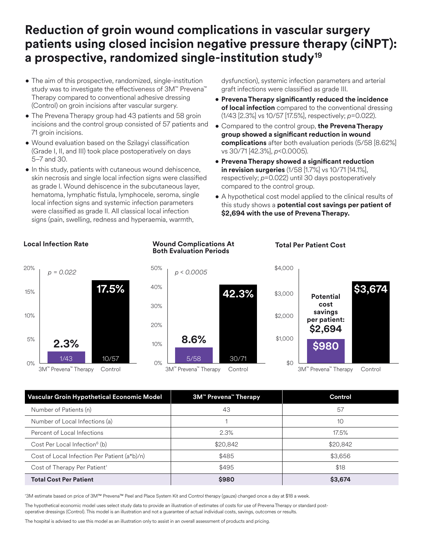## **Reduction of groin wound complications in vascular surgery patients using closed incision negative pressure therapy (ciNPT): a prospective, randomized single-institution study19**

- The aim of this prospective, randomized, single-institution study was to investigate the effectiveness of 3M™ Prevena™ Therapy compared to conventional adhesive dressing (Control) on groin incisions after vascular surgery.
- The Prevena Therapy group had 43 patients and 58 groin incisions and the control group consisted of 57 patients and 71 groin incisions.
- Wound evaluation based on the Szilagyi classification (Grade I, II, and III) took place postoperatively on days 5–7 and 30.
- In this study, patients with cutaneous wound dehiscence, skin necrosis and single local infection signs were classified as grade I. Wound dehiscence in the subcutaneous layer, hematoma, lymphatic fistula, lymphocele, seroma, single local infection signs and systemic infection parameters were classified as grade II. All classical local infection signs (pain, swelling, redness and hyperaemia, warmth,

dysfunction), systemic infection parameters and arterial graft infections were classified as grade III.

- **• PrevenaTherapy significantly reduced the incidence of local infection** compared to the conventional dressing (1/43 [2.3%] vs 10/57 [17.5%], respectively; *p*=0.022).
- Compared to the control group, **the PrevenaTherapy group showed a significant reduction in wound complications** after both evaluation periods (5/58 [8.62%] vs 30/71 [42.3%], *p*<0.0005).
- **• PrevenaTherapy showed a significant reduction in revision surgeries** (1/58 [1.7%] vs 10/71 [14.1%], respectively; *p*=0.022) until 30 days postoperatively compared to the control group.
- A hypothetical cost model applied to the clinical results of this study shows a **potential cost savings per patient of \$2,694 with the use of PrevenaTherapy.**

**Total Per Patient Cost**



**Wound Complications At** 

| Vascular Groin Hypothetical Economic Model   | 3M™ Prevena™ Therapy | Control  |
|----------------------------------------------|----------------------|----------|
| Number of Patients (n)                       | 43                   | 57       |
| Number of Local Infections (a)               |                      | 10       |
| Percent of Local Infections                  | 2.3%                 | 17.5%    |
| Cost Per Local Infection <sup>6</sup> (b)    | \$20,842             | \$20,842 |
| Cost of Local Infection Per Patient (a*b)/n) | \$485                | \$3.656  |
| Cost of Therapy Per Patient <sup>+</sup>     | \$495                | \$18     |
| <b>Total Cost Per Patient</b>                | \$980                | \$3,674  |

† 3M estimate based on price of 3M™ Prevena™ Peel and Place System Kit and Control therapy (gauze) changed once a day at \$18 a week.

The hypothetical economic model uses select study data to provide an illustration of estimates of costs for use of PrevenaTherapy or standard postoperative dressings (Control). This model is an illustration and not a guarantee of actual individual costs, savings, outcomes or results.

The hospital is advised to use this model as an illustration only to assist in an overall assessment of products and pricing.

#### **Local Infection Rate**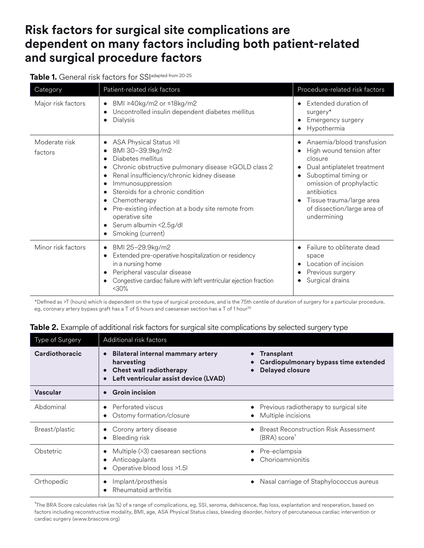## **Risk factors for surgical site complications are dependent on many factors including both patient-related and surgical procedure factors**

#### Table 1. General risk factors for SSI<sup>adapted from 20-25</sup>

| Category                 | Patient-related risk factors                                                                                                                                                                                                                                                                                                                                                                                                                                                                            | Procedure-related risk factors                                                                                                                                                                                                                                                                   |
|--------------------------|---------------------------------------------------------------------------------------------------------------------------------------------------------------------------------------------------------------------------------------------------------------------------------------------------------------------------------------------------------------------------------------------------------------------------------------------------------------------------------------------------------|--------------------------------------------------------------------------------------------------------------------------------------------------------------------------------------------------------------------------------------------------------------------------------------------------|
| Major risk factors       | BMI ≥40kg/m2 or ≤18kg/m2<br>$\bullet$<br>Uncontrolled insulin dependent diabetes mellitus<br>$\bullet$<br>Dialysis<br>$\bullet$                                                                                                                                                                                                                                                                                                                                                                         | Extended duration of<br>surgery*<br>Emergency surgery<br>Hypothermia<br>$\bullet$                                                                                                                                                                                                                |
| Moderate risk<br>factors | ASA Physical Status >II<br>$\bullet$<br>BMI 30-39.9kg/m2<br>$\bullet$<br>Diabetes mellitus<br>$\bullet$<br>Chronic obstructive pulmonary disease ≥GOLD class 2<br>$\bullet$<br>Renal insufficiency/chronic kidney disease<br>$\bullet$<br>Immunosuppression<br>$\bullet$<br>Steroids for a chronic condition<br>$\bullet$<br>Chemotherapy<br>$\bullet$<br>Pre-existing infection at a body site remote from<br>$\bullet$<br>operative site<br>Serum albumin < 2.5g/dl<br>$\bullet$<br>Smoking (current) | Anaemia/blood transfusion<br>$\bullet$<br>High wound tension after<br>$\bullet$<br>closure<br>Dual antiplatelet treatment<br>Suboptimal timing or<br>$\bullet$<br>omission of prophylactic<br>antibiotics<br>Tissue trauma/large area<br>$\bullet$<br>of dissection/large area of<br>undermining |
| Minor risk factors       | BMI 25-29.9kg/m2<br>$\bullet$<br>Extended pre-operative hospitalization or residency<br>$\bullet$<br>in a nursing home<br>Peripheral vascular disease<br>$\bullet$<br>Congestive cardiac failure with left ventricular ejection fraction<br>$<30\%$                                                                                                                                                                                                                                                     | Failure to obliterate dead<br>$\bullet$<br>space<br>Location of incision<br>Previous surgery<br>Surgical drains                                                                                                                                                                                  |

\*Defined as >T (hours) which is dependent on the type of surgical procedure, and is the 75th centile of duration of surgery for a particular procedure, eg, coronary artery bypass graft has a T of 5 hours and caesarean section has a T of 1 hour<sup>26</sup>

#### Table 2. Example of additional risk factors for surgical site complications by selected surgery type

| Type of Surgery | Additional risk factors                                                                                                                                           |                                                                                                               |
|-----------------|-------------------------------------------------------------------------------------------------------------------------------------------------------------------|---------------------------------------------------------------------------------------------------------------|
| Cardiothoracic  | Bilateral internal mammary artery<br>$\bullet$<br>harvesting<br><b>Chest wall radiotherapy</b><br>$\bullet$<br>Left ventricular assist device (LVAD)<br>$\bullet$ | <b>Transplant</b><br>$\bullet$<br>Cardiopulmonary bypass time extended<br><b>Delayed closure</b><br>$\bullet$ |
| <b>Vascular</b> | <b>Groin incision</b>                                                                                                                                             |                                                                                                               |
| Abdominal       | Perforated viscus<br>$\bullet$<br>Ostomy formation/closure<br>$\bullet$                                                                                           | Previous radiotherapy to surgical site<br>$\bullet$<br>Multiple incisions<br>$\bullet$                        |
| Breast/plastic  | Corony artery disease<br>$\bullet$<br>Bleeding risk<br>$\bullet$                                                                                                  | <b>Breast Reconstruction Risk Assessment</b><br>$\bullet$<br>(BRA) score <sup>†</sup>                         |
| Obstetric       | Multiple (>3) caesarean sections<br>$\bullet$<br>Anticoagulants<br>$\bullet$<br>Operative blood loss >1.51                                                        | Pre-eclampsia<br>$\bullet$<br>Chorioamnionitis<br>$\bullet$                                                   |
| Orthopedic      | Implant/prosthesis<br>Rheumatoid arthritis                                                                                                                        | Nasal carriage of Staphylococcus aureus<br>$\bullet$                                                          |

† The BRA Score calculates risk (as %) of a range of complications, eg, SSI, seroma, dehiscence, flap loss, explantation and reoperation, based on factors including reconstructive modality, BMI, age, ASA Physical Status class, bleeding disorder, history of percutaneous cardiac intervention or cardiac surgery (www.brascore.org)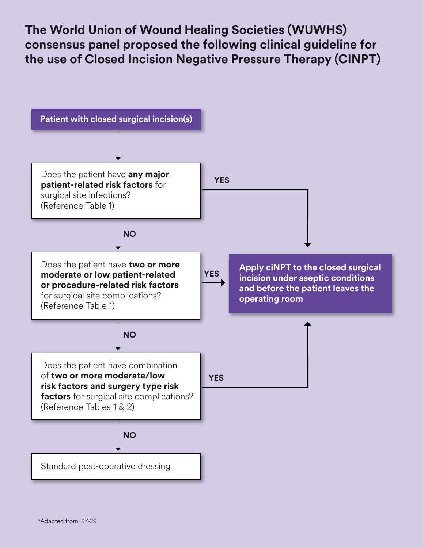## **The World Union of Wound Healing Societies (WUWHS) consensus panel proposed the following clinical guideline for the use of Closed Incision Negative Pressure Therapy (CINPT)**

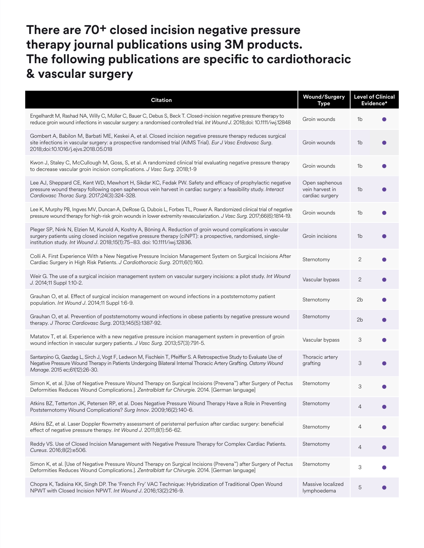## **There are 70+ closed incision negative pressure therapy journal publications using 3M products. The following publications are specific to cardiothoracic & vascular surgery**

| <b>Citation</b>                                                                                                                                                                                                                                                                                            | Wound/Surgery<br><b>Type</b>                         | <b>Level of Clinical</b><br>Evidence* |
|------------------------------------------------------------------------------------------------------------------------------------------------------------------------------------------------------------------------------------------------------------------------------------------------------------|------------------------------------------------------|---------------------------------------|
| Engelhardt M, Rashad NA, Willy C, Müller C, Bauer C, Debus S, Beck T. Closed-incision negative pressure therapy to<br>reduce groin wound infections in vascular surgery: a randomised controlled trial. Int Wound J. 2018;doi: 10.1111/iwj.12848                                                           | Groin wounds                                         | 1 <sub>b</sub>                        |
| Gombert A, Babilon M, Barbati ME, Keskei A, et al. Closed incision negative pressure therapy reduces surgical<br>site infections in vascular surgery: a prospective randomised trial (AIMS Trial). Eur J Vasc Endovasc Surg.<br>2018;doi:10.1016/j.ejvs.2018.05.018                                        | Groin wounds                                         | 1 <sub>b</sub>                        |
| Kwon J, Staley C, McCullough M, Goss, S, et al. A randomized clinical trial evaluating negative pressure therapy<br>to decrease vascular groin incision complications. J Vasc Surg. 2018;1-9                                                                                                               | Groin wounds                                         | 1 <sub>b</sub>                        |
| Lee AJ, Sheppard CE, Kent WD, Mewhort H, Sikdar KC, Fedak PW. Safety and efficacy of prophylactic negative<br>pressure wound therapy following open saphenous vein harvest in cardiac surgery: a feasibility study. Interact<br>Cardiovasc Thorac Surg. 2017;24(3):324-328.                                | Open saphenous<br>vein harvest in<br>cardiac surgery | 1b                                    |
| Lee K, Murphy PB, Ingves MV, Duncan A, DeRose G, Dubois L, Forbes TL, Power A. Randomized clinical trial of negative<br>pressure wound therapy for high-risk groin wounds in lower extremity revascularization. J Vasc Surg. 2017;66(6):1814-19.                                                           | Groin wounds                                         | 1 <sub>b</sub>                        |
| Pleger SP, Nink N, Elzien M, Kunold A, Koshty A, Böning A. Reduction of groin wound complications in vascular<br>surgery patients using closed incision negative pressure therapy (ciNPT): a prospective, randomised, single-<br>institution study. Int Wound J. 2018;15(1):75-83. doi: 10.1111/iwj.12836. | Groin incisions                                      | 1 <sub>b</sub>                        |
| Colli A. First Experience With a New Negative Pressure Incision Management System on Surgical Incisions After<br>Cardiac Surgery in High Risk Patients. J Cardiothoracic Surg. 2011;6(1):160.                                                                                                              | Sternotomy                                           | $\mathbf{2}$                          |
| Weir G. The use of a surgical incision management system on vascular surgery incisions: a pilot study. Int Wound<br>J. 2014;11 Suppl 1:10-2.                                                                                                                                                               | Vascular bypass                                      | 2                                     |
| Grauhan O, et al. Effect of surgical incision management on wound infections in a poststernotomy patient<br>population. Int Wound J. 2014;11 Suppl 1:6-9.                                                                                                                                                  | Sternotomy                                           | 2 <sub>b</sub>                        |
| Grauhan O, et al. Prevention of poststernotomy wound infections in obese patients by negative pressure wound<br>therapy. J Thorac Cardiovasc Surg. 2013;145(5):1387-92.                                                                                                                                    | Sternotomy                                           | 2 <sub>b</sub>                        |
| Matatov T, et al. Experience with a new negative pressure incision management system in prevention of groin<br>wound infection in vascular surgery patients. J Vasc Surg. 2013;57(3):791-5.                                                                                                                | Vascular bypass                                      | 3                                     |
| Santarpino G, Gazdag L, Sirch J, Vogt F, Ledwon M, Fischlein T, Pfeiffer S. A Retrospective Study to Evaluate Use of<br>Negative Pressure Wound Therapy in Patients Undergoing Bilateral Internal Thoracic Artery Grafting. Ostomy Wound<br>Manage. 2015 ec;61(12):26-30.                                  | Thoracic artery<br>grafting                          | 3                                     |
| Simon K, et al. [Use of Negative Pressure Wound Therapy on Surgical Incisions (Prevena <sup>no</sup> ) after Surgery of Pectus<br>Deformities Reduces Wound Complications.]. Zentralblatt fur Chirurgie. 2014. [German language]                                                                           | Sternotomy                                           | 3                                     |
| Atkins BZ, Tetterton JK, Petersen RP, et al. Does Negative Pressure Wound Therapy Have a Role in Preventing<br>Poststernotomy Wound Complications? Surg Innov. 2009;16(2):140-6.                                                                                                                           | Sternotomy                                           | $\overline{4}$                        |
| Atkins BZ, et al. Laser Doppler flowmetry assessment of peristernal perfusion after cardiac surgery: beneficial<br>effect of negative pressure therapy. Int Wound J. 2011;8(1):56-62.                                                                                                                      | Sternotomy                                           | 4                                     |
| Reddy VS. Use of Closed Incision Management with Negative Pressure Therapy for Complex Cardiac Patients.<br>Cureus. 2016;8(2):e506.                                                                                                                                                                        | Sternotomy                                           | 4                                     |
| Simon K, et al. [Use of Negative Pressure Wound Therapy on Surgical Incisions (Prevena <sup>no</sup> ) after Surgery of Pectus<br>Deformities Reduces Wound Complications.]. Zentralblatt fur Chirurgie. 2014. [German language]                                                                           | Sternotomy                                           | 3                                     |
| Chopra K, Tadisina KK, Singh DP. The 'French Fry' VAC Technique: Hybridization of Traditional Open Wound<br>NPWT with Closed Incision NPWT. Int Wound J. 2016;13(2):216-9.                                                                                                                                 | Massive localized<br>lymphoedema                     | 5                                     |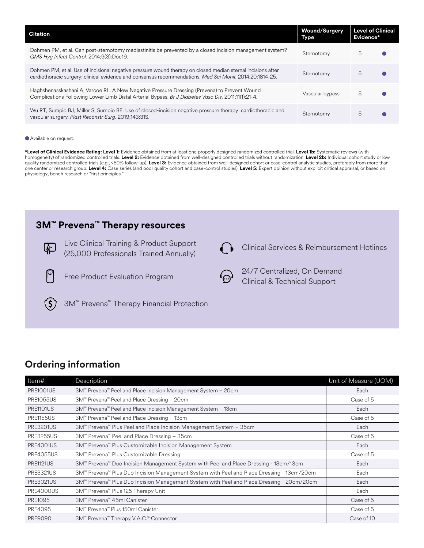| <b>Citation</b>                                                                                                                                                                                                          | <b>Wound/Surgery</b><br><b>Type</b> | <b>Level of Clinical</b><br>Evidence* |
|--------------------------------------------------------------------------------------------------------------------------------------------------------------------------------------------------------------------------|-------------------------------------|---------------------------------------|
| Dohmen PM, et al. Can post-sternotomy mediastinitis be prevented by a closed incision management system?<br>GMS Hyg Infect Control. 2014;9(3):Doc19.                                                                     | Sternotomy                          | 5.                                    |
| Dohmen PM, et al. Use of incisional negative pressure wound therapy on closed median sternal incisions after<br>cardiothoracic surgery: clinical evidence and consensus recommendations. Med Sci Monit. 2014;20:1814-25. | Sternotomy                          | 5                                     |
| Haghshenasskashani A, Varcoe RL. A New Negative Pressure Dressing (Prevena) to Prevent Wound<br>Complications Following Lower Limb Distal Arterial Bypass. Br J Diabetes Vasc Dis. 2011;11(1):21-4.                      | Vascular bypass                     | 5                                     |
| Wu RT, Sumpio BJ, Miller S, Sumpio BE. Use of closed-incision negative pressure therapy: cardiothoracic and<br>vascular surgery. Plast Reconstr Surg. 2019;143:31S.                                                      | Sternotomy                          | 5                                     |

#### **●**Available on request.

**\*Level of Clinical Evidence Rating: Level 1:** Evidence obtained from at least one properly designed randomized controlled trial. **Level 1b:** Systematic reviews (with homogeneity) of randomized controlled trials. **Level 2:** Evidence obtained from well-designed controlled trials without randomization. **Level 2b:** Individual cohort study or low quality randomized controlled trials (e.g., <80% follow-up). Level 3: Evidence obtained from well-designed cohort or case-control analytic studies, preferably from more than one center or research group. **Level 4:** Case series (and poor quality cohort and case-control studies). **Level 5:** Expert opinion without explicit critical appraisal, or based on physiology, bench research or "first principles."



#### **Ordering information**

| ltem#            | Description                                                                               | Unit of Measure (UOM) |
|------------------|-------------------------------------------------------------------------------------------|-----------------------|
| PRE1001US        | 3M™ Prevena™ Peel and Place Incision Management System - 20cm                             | Each                  |
| <b>PRE1055US</b> | 3M™ Prevena™ Peel and Place Dressing – 20cm                                               | Case of 5             |
| <b>PRE1101US</b> | 3M™ Prevena™ Peel and Place Incision Management System – 13cm                             | Each                  |
| <b>PRE1155US</b> | 3M™ Prevena™ Peel and Place Dressing – 13cm                                               | Case of 5             |
| <b>PRE3201US</b> | 3M™ Prevena™ Plus Peel and Place Incision Management System – 35cm                        | Each                  |
| <b>PRE3255US</b> | 3M™ Prevena™ Peel and Place Dressing – 35cm                                               | Case of 5             |
| <b>PRE4001US</b> | 3M™ Prevena™ Plus Customizable Incision Management System                                 | Each                  |
| <b>PRE4055US</b> | 3M™ Prevena™ Plus Customizable Dressing                                                   | Case of 5             |
| <b>PRE1121US</b> | 3M™ Prevena™ Duo Incision Management System with Peel and Place Dressing - 13cm/13cm      | Each                  |
| <b>PRE3321US</b> | 3M™ Prevena™ Plus Duo Incision Management System with Peel and Place Dressing - 13cm/20cm | Each                  |
| <b>PRE3021US</b> | 3M™ Prevena™ Plus Duo Incision Management System with Peel and Place Dressing - 20cm/20cm | Each                  |
| PRE4000US        | 3M™ Prevena™ Plus 125 Therapy Unit                                                        | Each                  |
| <b>PRE1095</b>   | 3M™ Prevena™ 45ml Canister                                                                | Case of 5             |
| <b>PRE4095</b>   | 3M™ Prevena™ Plus 150ml Canister                                                          | Case of 5             |
| <b>PRE9090</b>   | 3M™ Prevena™ Therapy V.A.C.® Connector                                                    | Case of 10            |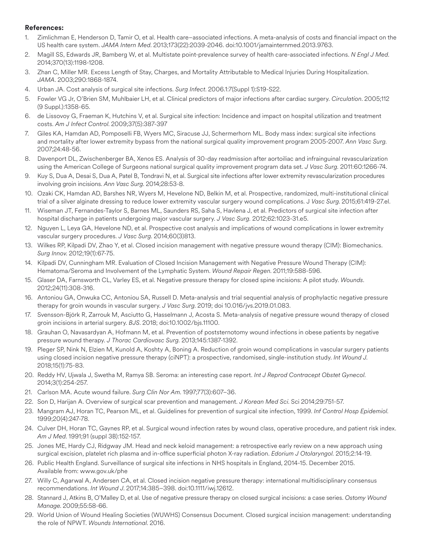#### **References:**

- 1. Zimlichman E, Henderson D, Tamir O, et al. Health care–associated infections. A meta-analysis of costs and financial impact on the US health care system. *JAMA Intern Med*. 2013;173(22):2039-2046. doi:10.1001/jamainternmed.2013.9763.
- 2. Magill SS, Edwards JR, Bamberg W, et al. Multistate point-prevalence survey of health care-associated infections. *N Engl J Med*. 2014;370(13):1198-1208.
- 3. Zhan C, Miller MR. Excess Length of Stay, Charges, and Mortality Attributable to Medical Injuries During Hospitalization. *JAMA*. 2003;290:1868-1874.
- 4. Urban JA. Cost analysis of surgical site infections. *Surg Infect*. 2006.1:7(Suppl 1):S19-S22.
- 5. Fowler VG Jr, O'Brien SM, Muhlbaier LH, et al. Clinical predictors of major infections after cardiac surgery. *Circulation*. 2005;112 (9 Suppl.):1358-65.
- 6. de Lissovoy G, Fraeman K, Hutchins V, et al. Surgical site infection: Incidence and impact on hospital utilization and treatment costs. *Am J Infect Control*. 2009;37(5):387-397
- 7. Giles KA, Hamdan AD, Pomposelli FB, Wyers MC, Siracuse JJ, Schermerhorn ML. Body mass index: surgical site infections and mortality after lower extremity bypass from the national surgical quality improvement program 2005-2007. *Ann Vasc Surg.* 2007;24:48-56.
- 8. Davenport DL, Zwischenberger BA, Xenos ES. Analysis of 30-day readmission after aortoiliac and infrainguinal revascularization using the American College of Surgeons national surgical quality improvement program data set. *J Vasc Surg.* 2011:60:1266-74.
- 9. Kuy S, Dua A, Desai S, Dua A, Patel B, Tondravi N, et al. Surgical site infections after lower extremity revascularization procedures involving groin incisions. *Ann Vasc Surg.* 2014;28:53-8.
- 10. Ozaki CK, Hamdan AD, Barshes NR, Wyers M, Hevelone ND, Belkin M, et al. Prospective, randomized, multi-institutional clinical trial of a silver alginate dressing to reduce lower extremity vascular surgery wound complications. J *Vasc Surg*. 2015;61:419-27.el.
- 11. Wiseman JT, Fernandes-Taylor S, Barnes ML, Saunders RS, Saha S, Havlena J, et al. Predictors of surgical site infection after hospital discharge in patients undergoing major vascular surgery. *J Vasc Surg.* 2012;62:1023-31.e5.
- 12. Nguyen L, Leya GA, Hevelone ND, et al. Prospective cost analysis and implications of wound complications in lower extremity vascular surgery procedures. *J Vasc Surg*. 2014;60(3)813.
- 13. Wilkes RP, Kilpadi DV, Zhao Y, et al. Closed incision management with negative pressure wound therapy (CIM): Biomechanics. *Surg Innov*. 2012;19(1):67-75.
- 14. Kilpadi DV, Cunningham MR. Evaluation of Closed Incision Management with Negative Pressure Wound Therapy (CIM): Hematoma/Seroma and Involvement of the Lymphatic System. *Wound Repair Regen*. 2011;19:588-596.
- 15. Glaser DA, Farnsworth CL, Varley ES, et al. Negative pressure therapy for closed spine incisions: A pilot study. *Wounds*. 2012;24(11):308-316.
- 16. Antoniou GA, Onwuka CC, Antoniou SA, Russell D. Meta-analysis and trial sequential analysis of prophylactic negative pressure therapy for groin wounds in vascular surgery. *J Vasc Surg*. 2019; doi 10.016/jvs.2019.01.083.
- 17. Svensson-Björk R, Zarrouk M, Asciutto G, Hasselmann J, Acosta S. Meta-analysis of negative pressure wound therapy of closed groin incisions in arterial surgery. *BJS*. 2018; doi:10.1002/bjs.11100.
- 18. Grauhan O, Navasardyan A, Hofmann M, et al. Prevention of poststernotomy wound infections in obese patients by negative pressure wound therapy. *J Thorac Cardiovasc Surg.* 2013;145:1387-1392.
- 19. Pleger SP, Nink N, Elzien M, Kunold A, Koshty A, Boning A. Reduction of groin wound complications in vascular surgery patients using closed incision negative pressure therapy (ciNPT): a prospective, randomised, single-institution study. *Int Wound J.*  2018;15(1):75-83.
- 20. Reddy HV, Ujwala J, Swetha M, Ramya SB. Seroma: an interesting case report. *Int J Reprod Contracept Obstet Gynecol*. 2014;3(1):254-257.
- 21. Carlson MA. Acute wound failure. *Surg Clin Nor Am*. 1997;77(3):607–36.
- 22. Son D, Harijan A. Overview of surgical scar prevention and management. *J Korean Med Sci*. Sci 2014;29:751-57.
- 23. Mangram AJ, Horan TC, Pearson ML, et al. Guidelines for prevention of surgical site infection, 1999. *Inf Control Hosp Epidemiol*. 1999;20(4):247-78.
- 24. Culver DH, Horan TC, Gaynes RP, et al. Surgical wound infection rates by wound class, operative procedure, and patient risk index. *Am J Med*. 1991;91 (suppl 3B):152-157.
- 25. Jones ME, Hardy CJ, Ridgway JM. Head and neck keloid management: a retrospective early review on a new approach using surgical excision, platelet rich plasma and in-office superficial photon X-ray radiation. *Edorium J Otolaryngol.* 2015;2:14-19.
- 26. Public Health England. Surveillance of surgical site infections in NHS hospitals in England, 2014-15. December 2015. Available from: www.gov.uk/phe
- 27. Willy C, Agarwal A, Andersen CA, et al. Closed incision negative pressure therapy: international multidisciplinary consensus recommendations. *Int Wound J*. 2017;14:385–398. doi:10.1111/iwj.12612.
- 28. Stannard J, Atkins B, O'Malley D, et al. Use of negative pressure therapy on closed surgical incisions: a case series. *Ostomy Wound Manage*. 2009;55:58-66.
- 29. World Union of Wound Healing Societies (WUWHS) Consensus Document. Closed surgical incision management: understanding the role of NPWT. *Wounds International*. 2016.